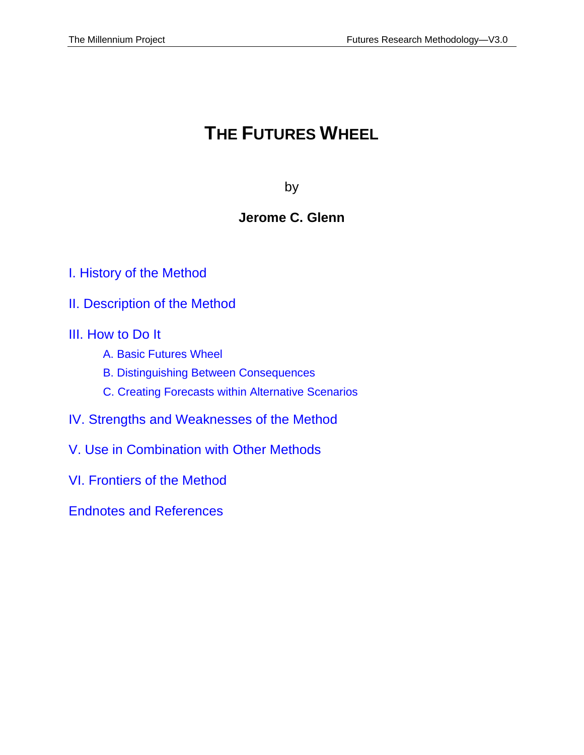# **THE FUTURES WHEEL**

by

# **Jerome C. Glenn**

- [I. History of the Method](#page-2-0)
- [II. Description of the Method](#page-3-0)
- [III. How](#page-5-0) to Do It
	- [A.](#page-5-0) [Basic Futures Wheel](#page-5-0)
	- B. [Distinguishing Between Consequences](#page-7-0)
	- C. [Creating Forecasts within Alternative Scenarios](#page-8-0)
- [IV. Strengths and Weaknesses of the Method](#page-9-0)
- [V. Use in Combination with Other Methods](#page-10-0)
- [VI. Frontiers of the Method](#page-11-0)

[Endnotes and References](#page-17-0)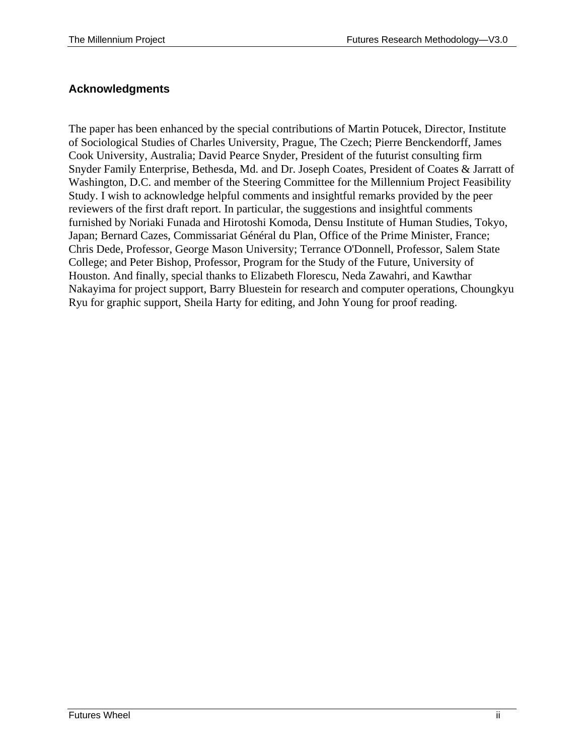#### **Acknowledgments**

The paper has been enhanced by the special contributions of Martin Potucek, Director, Institute of Sociological Studies of Charles University, Prague, The Czech; Pierre Benckendorff, James Cook University, Australia; David Pearce Snyder, President of the futurist consulting firm Snyder Family Enterprise, Bethesda, Md. and Dr. Joseph Coates, President of Coates & Jarratt of Washington, D.C. and member of the Steering Committee for the Millennium Project Feasibility Study. I wish to acknowledge helpful comments and insightful remarks provided by the peer reviewers of the first draft report. In particular, the suggestions and insightful comments furnished by Noriaki Funada and Hirotoshi Komoda, Densu Institute of Human Studies, Tokyo, Japan; Bernard Cazes, Commissariat Général du Plan, Office of the Prime Minister, France; Chris Dede, Professor, George Mason University; Terrance O'Donnell, Professor, Salem State College; and Peter Bishop, Professor, Program for the Study of the Future, University of Houston. And finally, special thanks to Elizabeth Florescu, Neda Zawahri, and Kawthar Nakayima for project support, Barry Bluestein for research and computer operations, Choungkyu Ryu for graphic support, Sheila Harty for editing, and John Young for proof reading.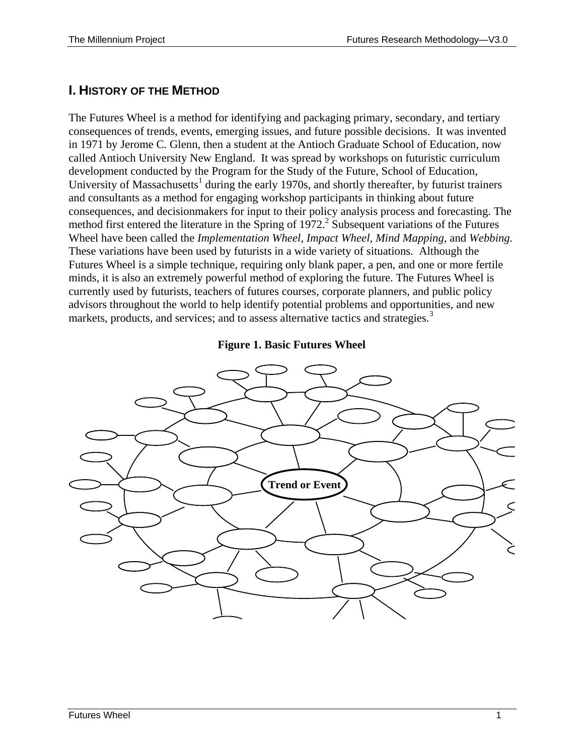# <span id="page-2-0"></span>**I. HISTORY OF THE METHOD**

The Futures Wheel is a method for identifying and packaging primary, secondary, and tertiary consequences of trends, events, emerging issues, and future possible decisions. It was invented in 1971 by Jerome C. Glenn, then a student at the Antioch Graduate School of Education, now called Antioch University New England. It was spread by workshops on futuristic curriculum development conducted by the Program for the Study of the Future, School of Education, University of Massachusetts<sup>1</sup> during the early 1970s, and shortly thereafter, by futurist trainers and consultants as a method for engaging workshop participants in thinking about future consequences, and decisionmakers for input to their policy analysis process and forecasting. The method first entered the literature in the Spring of  $1972$ .<sup>2</sup> Subsequent variations of the Futures Wheel have been called the *Implementation Wheel, Impact Wheel, Mind Mapping,* and *Webbing.* These variations have been used by futurists in a wide variety of situations. Although the Futures Wheel is a simple technique, requiring only blank paper, a pen, and one or more fertile minds, it is also an extremely powerful method of exploring the future. The Futures Wheel is currently used by futurists, teachers of futures courses, corporate planners, and public policy advisors throughout the world to help identify potential problems and opportunities, and new markets, products, and services; and to assess alternative tactics and strategies.<sup>3</sup>

#### **Figure 1. Basic Futures Wheel**

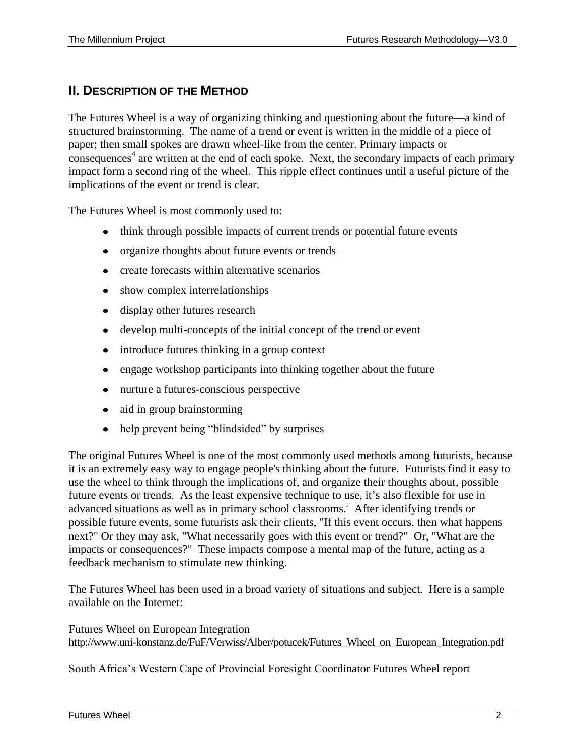### <span id="page-3-0"></span>**II. DESCRIPTION OF THE METHOD**

The Futures Wheel is a way of organizing thinking and questioning about the future––a kind of structured brainstorming. The name of a trend or event is written in the middle of a piece of paper; then small spokes are drawn wheel-like from the center. Primary impacts or consequences<sup>4</sup> are written at the end of each spoke. Next, the secondary impacts of each primary impact form a second ring of the wheel. This ripple effect continues until a useful picture of the implications of the event or trend is clear.

The Futures Wheel is most commonly used to:

- think through possible impacts of current trends or potential future events
- organize thoughts about future events or trends
- create forecasts within alternative scenarios
- show complex interrelationships
- display other futures research
- develop multi-concepts of the initial concept of the trend or event
- introduce futures thinking in a group context
- engage workshop participants into thinking together about the future
- nurture a futures-conscious perspective
- aid in group brainstorming
- help prevent being "blindsided" by surprises

The original Futures Wheel is one of the most commonly used methods among futurists, because it is an extremely easy way to engage people's thinking about the future. Futurists find it easy to use the wheel to think through the implications of, and organize their thoughts about, possible future events or trends. As the least expensive technique to use, it's also flexible for use in advanced situations as well as in primary school classrooms.<sup>5</sup> After identifying trends or possible future events, some futurists ask their clients, "If this event occurs, then what happens next?" Or they may ask, "What necessarily goes with this event or trend?" Or, "What are the impacts or consequences?" These impacts compose a mental map of the future, acting as a feedback mechanism to stimulate new thinking.

The Futures Wheel has been used in a broad variety of situations and subject. Here is a sample available on the Internet:

Futures Wheel on European Integration http://www.uni-konstanz.de/FuF/Verwiss/Alber/potucek/Futures\_Wheel\_on\_European\_Integration.pdf

South Africa's Western Cape of Provincial Foresight Coordinator Futures Wheel report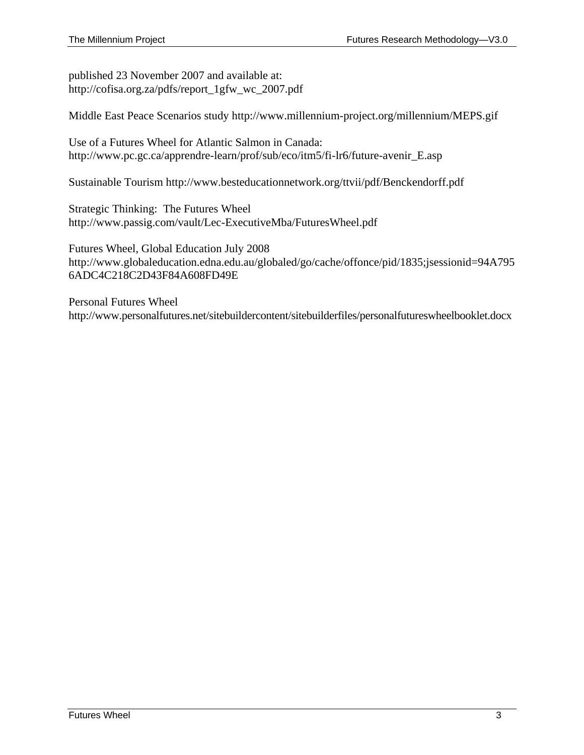published 23 November 2007 and available at: http://cofisa.org.za/pdfs/report\_1gfw\_wc\_2007.pdf

Middle East Peace Scenarios study http://www.millennium-project.org/millennium/MEPS.gif

Use of a Futures Wheel for Atlantic Salmon in Canada: http://www.pc.gc.ca/apprendre-learn/prof/sub/eco/itm5/fi-lr6/future-avenir\_E.asp

Sustainable Tourism http://www.besteducationnetwork.org/ttvii/pdf/Benckendorff.pdf

Strategic Thinking: The Futures Wheel http://www.passig.com/vault/Lec-ExecutiveMba/FuturesWheel.pdf

Futures Wheel, Global Education July 2008 http://www.globaleducation.edna.edu.au/globaled/go/cache/offonce/pid/1835;jsessionid=94A795 6ADC4C218C2D43F84A608FD49E

Personal Futures Wheel http://www.personalfutures.net/sitebuildercontent/sitebuilderfiles/personalfutureswheelbooklet.docx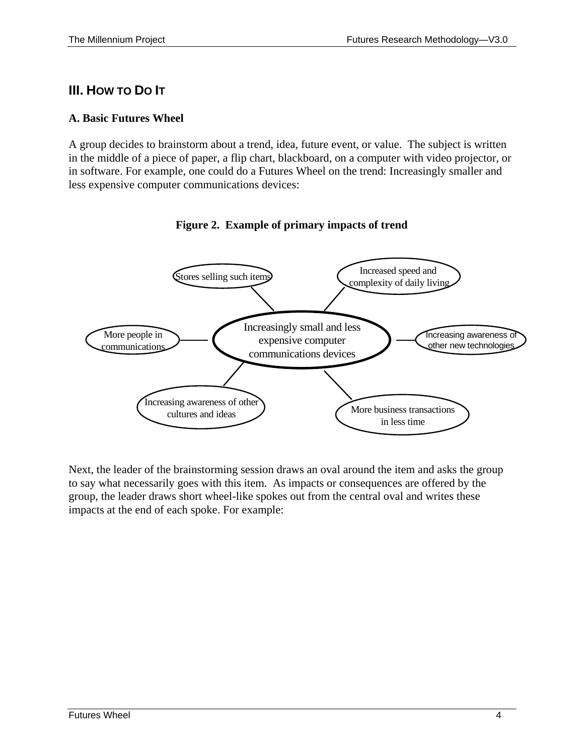# <span id="page-5-0"></span>**III. HOW TO DO IT**

#### **A. Basic Futures Wheel**

A group decides to brainstorm about a trend, idea, future event, or value. The subject is written in the middle of a piece of paper, a flip chart, blackboard, on a computer with video projector, or in software. For example, one could do a Futures Wheel on the trend: Increasingly smaller and less expensive computer communications devices:



#### **Figure 2. Example of primary impacts of trend**

Next, the leader of the brainstorming session draws an oval around the item and asks the group to say what necessarily goes with this item. As impacts or consequences are offered by the group, the leader draws short wheel-like spokes out from the central oval and writes these impacts at the end of each spoke. For example: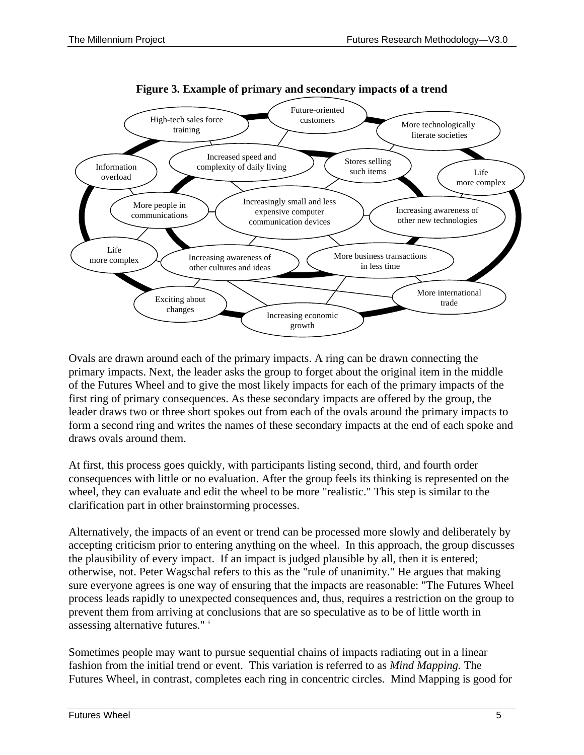

**Figure 3. Example of primary and secondary impacts of a trend**

Ovals are drawn around each of the primary impacts. A ring can be drawn connecting the primary impacts. Next, the leader asks the group to forget about the original item in the middle of the Futures Wheel and to give the most likely impacts for each of the primary impacts of the first ring of primary consequences. As these secondary impacts are offered by the group, the leader draws two or three short spokes out from each of the ovals around the primary impacts to form a second ring and writes the names of these secondary impacts at the end of each spoke and draws ovals around them.

At first, this process goes quickly, with participants listing second, third, and fourth order consequences with little or no evaluation. After the group feels its thinking is represented on the wheel, they can evaluate and edit the wheel to be more "realistic." This step is similar to the clarification part in other brainstorming processes.

Alternatively, the impacts of an event or trend can be processed more slowly and deliberately by accepting criticism prior to entering anything on the wheel. In this approach, the group discusses the plausibility of every impact. If an impact is judged plausible by all, then it is entered; otherwise, not. Peter Wagschal refers to this as the "rule of unanimity." He argues that making sure everyone agrees is one way of ensuring that the impacts are reasonable: "The Futures Wheel process leads rapidly to unexpected consequences and, thus, requires a restriction on the group to prevent them from arriving at conclusions that are so speculative as to be of little worth in assessing alternative futures." <sup>6</sup>

Sometimes people may want to pursue sequential chains of impacts radiating out in a linear fashion from the initial trend or event. This variation is referred to as *Mind Mapping.* The Futures Wheel, in contrast, completes each ring in concentric circles. Mind Mapping is good for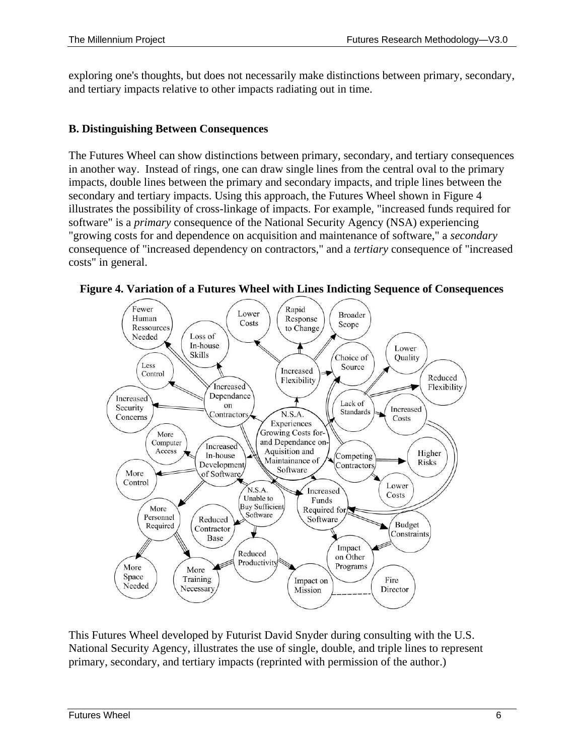exploring one's thoughts, but does not necessarily make distinctions between primary, secondary, and tertiary impacts relative to other impacts radiating out in time.

#### <span id="page-7-0"></span>**B. Distinguishing Between Consequences**

The Futures Wheel can show distinctions between primary, secondary, and tertiary consequences in another way. Instead of rings, one can draw single lines from the central oval to the primary impacts, double lines between the primary and secondary impacts, and triple lines between the secondary and tertiary impacts. Using this approach, the Futures Wheel shown in Figure 4 illustrates the possibility of cross-linkage of impacts. For example, "increased funds required for software" is a *primary* consequence of the National Security Agency (NSA) experiencing "growing costs for and dependence on acquisition and maintenance of software," a *secondary*  consequence of "increased dependency on contractors," and a *tertiary* consequence of "increased costs" in general.



**Figure 4. Variation of a Futures Wheel with Lines Indicting Sequence of Consequences**

This Futures Wheel developed by Futurist David Snyder during consulting with the U.S. National Security Agency, illustrates the use of single, double, and triple lines to represent primary, secondary, and tertiary impacts (reprinted with permission of the author.)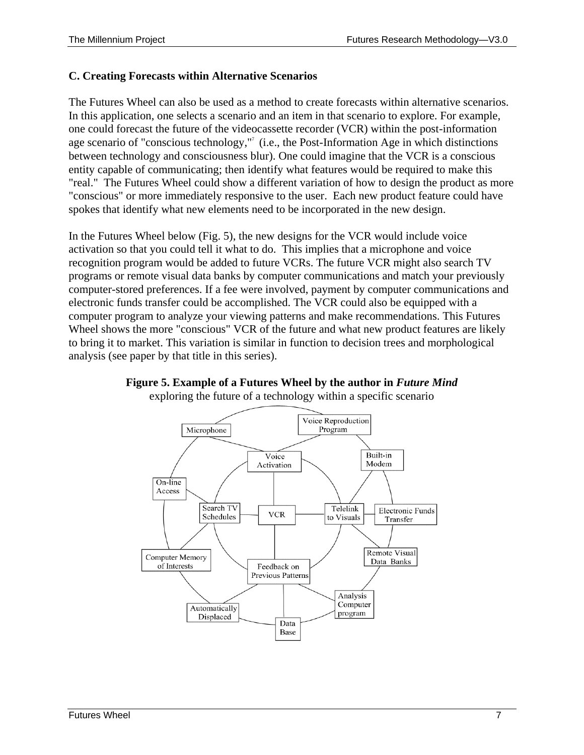#### <span id="page-8-0"></span>**C. Creating Forecasts within Alternative Scenarios**

The Futures Wheel can also be used as a method to create forecasts within alternative scenarios. In this application, one selects a scenario and an item in that scenario to explore. For example, one could forecast the future of the videocassette recorder (VCR) within the post-information age scenario of "conscious technology,"<sup>7</sup> (i.e., the Post-Information Age in which distinctions between technology and consciousness blur). One could imagine that the VCR is a conscious entity capable of communicating; then identify what features would be required to make this "real." The Futures Wheel could show a different variation of how to design the product as more "conscious" or more immediately responsive to the user. Each new product feature could have spokes that identify what new elements need to be incorporated in the new design.

In the Futures Wheel below (Fig. 5), the new designs for the VCR would include voice activation so that you could tell it what to do. This implies that a microphone and voice recognition program would be added to future VCRs. The future VCR might also search TV programs or remote visual data banks by computer communications and match your previously computer-stored preferences. If a fee were involved, payment by computer communications and electronic funds transfer could be accomplished. The VCR could also be equipped with a computer program to analyze your viewing patterns and make recommendations. This Futures Wheel shows the more "conscious" VCR of the future and what new product features are likely to bring it to market. This variation is similar in function to decision trees and morphological analysis (see paper by that title in this series).



**Figure 5. Example of a Futures Wheel by the author in** *Future Mind* exploring the future of a technology within a specific scenario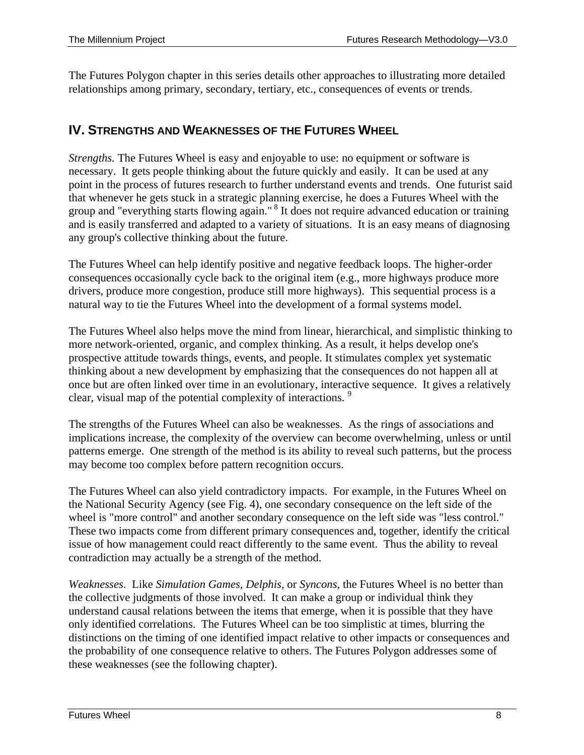The Futures Polygon chapter in this series details other approaches to illustrating more detailed relationships among primary, secondary, tertiary, etc., consequences of events or trends.

### <span id="page-9-0"></span>**IV. STRENGTHS AND WEAKNESSES OF THE FUTURES WHEEL**

*Strengths.* The Futures Wheel is easy and enjoyable to use: no equipment or software is necessary. It gets people thinking about the future quickly and easily. It can be used at any point in the process of futures research to further understand events and trends. One futurist said that whenever he gets stuck in a strategic planning exercise, he does a Futures Wheel with the group and "everything starts flowing again."<sup>8</sup> It does not require advanced education or training and is easily transferred and adapted to a variety of situations. It is an easy means of diagnosing any group's collective thinking about the future.

The Futures Wheel can help identify positive and negative feedback loops. The higher-order consequences occasionally cycle back to the original item (e.g., more highways produce more drivers, produce more congestion, produce still more highways). This sequential process is a natural way to tie the Futures Wheel into the development of a formal systems model.

The Futures Wheel also helps move the mind from linear, hierarchical, and simplistic thinking to more network-oriented, organic, and complex thinking. As a result, it helps develop one's prospective attitude towards things, events, and people. It stimulates complex yet systematic thinking about a new development by emphasizing that the consequences do not happen all at once but are often linked over time in an evolutionary, interactive sequence. It gives a relatively clear, visual map of the potential complexity of interactions.<sup>9</sup>

The strengths of the Futures Wheel can also be weaknesses. As the rings of associations and implications increase, the complexity of the overview can become overwhelming, unless or until patterns emerge. One strength of the method is its ability to reveal such patterns, but the process may become too complex before pattern recognition occurs.

The Futures Wheel can also yield contradictory impacts. For example, in the Futures Wheel on the National Security Agency (see Fig. 4), one secondary consequence on the left side of the wheel is "more control" and another secondary consequence on the left side was "less control." These two impacts come from different primary consequences and, together, identify the critical issue of how management could react differently to the same event. Thus the ability to reveal contradiction may actually be a strength of the method.

*Weaknesses*. Like *Simulation Games, Delphis,* or *Syncons*, the Futures Wheel is no better than the collective judgments of those involved. It can make a group or individual think they understand causal relations between the items that emerge, when it is possible that they have only identified correlations. The Futures Wheel can be too simplistic at times, blurring the distinctions on the timing of one identified impact relative to other impacts or consequences and the probability of one consequence relative to others. The Futures Polygon addresses some of these weaknesses (see the following chapter).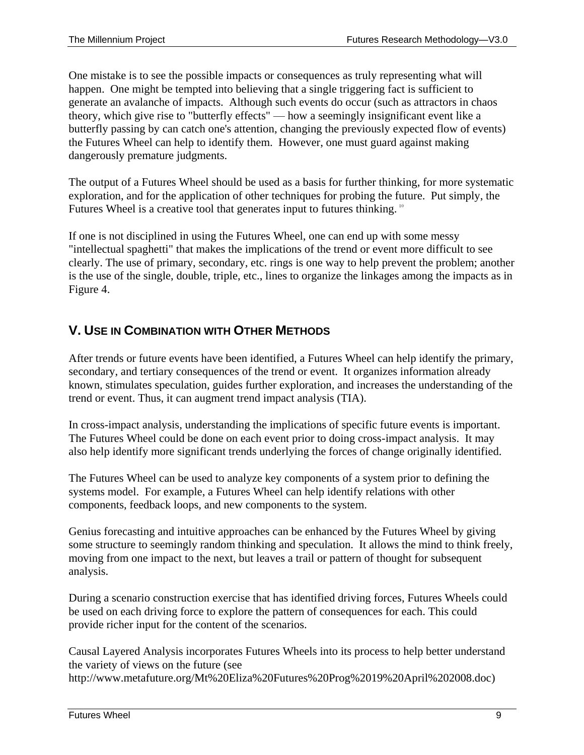One mistake is to see the possible impacts or consequences as truly representing what will happen. One might be tempted into believing that a single triggering fact is sufficient to generate an avalanche of impacts. Although such events do occur (such as attractors in chaos theory, which give rise to "butterfly effects" — how a seemingly insignificant event like a butterfly passing by can catch one's attention, changing the previously expected flow of events) the Futures Wheel can help to identify them. However, one must guard against making dangerously premature judgments.

The output of a Futures Wheel should be used as a basis for further thinking, for more systematic exploration, and for the application of other techniques for probing the future. Put simply, the Futures Wheel is a creative tool that generates input to futures thinking.  $10$ 

If one is not disciplined in using the Futures Wheel, one can end up with some messy "intellectual spaghetti" that makes the implications of the trend or event more difficult to see clearly. The use of primary, secondary, etc. rings is one way to help prevent the problem; another is the use of the single, double, triple, etc., lines to organize the linkages among the impacts as in Figure 4.

## <span id="page-10-0"></span>**V. USE IN COMBINATION WITH OTHER METHODS**

After trends or future events have been identified, a Futures Wheel can help identify the primary, secondary, and tertiary consequences of the trend or event. It organizes information already known, stimulates speculation, guides further exploration, and increases the understanding of the trend or event. Thus, it can augment trend impact analysis (TIA).

In cross-impact analysis, understanding the implications of specific future events is important. The Futures Wheel could be done on each event prior to doing cross-impact analysis. It may also help identify more significant trends underlying the forces of change originally identified.

The Futures Wheel can be used to analyze key components of a system prior to defining the systems model. For example, a Futures Wheel can help identify relations with other components, feedback loops, and new components to the system.

Genius forecasting and intuitive approaches can be enhanced by the Futures Wheel by giving some structure to seemingly random thinking and speculation. It allows the mind to think freely, moving from one impact to the next, but leaves a trail or pattern of thought for subsequent analysis.

During a scenario construction exercise that has identified driving forces, Futures Wheels could be used on each driving force to explore the pattern of consequences for each. This could provide richer input for the content of the scenarios.

Causal Layered Analysis incorporates Futures Wheels into its process to help better understand the variety of views on the future (see http://www.metafuture.org/Mt%20Eliza%20Futures%20Prog%2019%20April%202008.doc)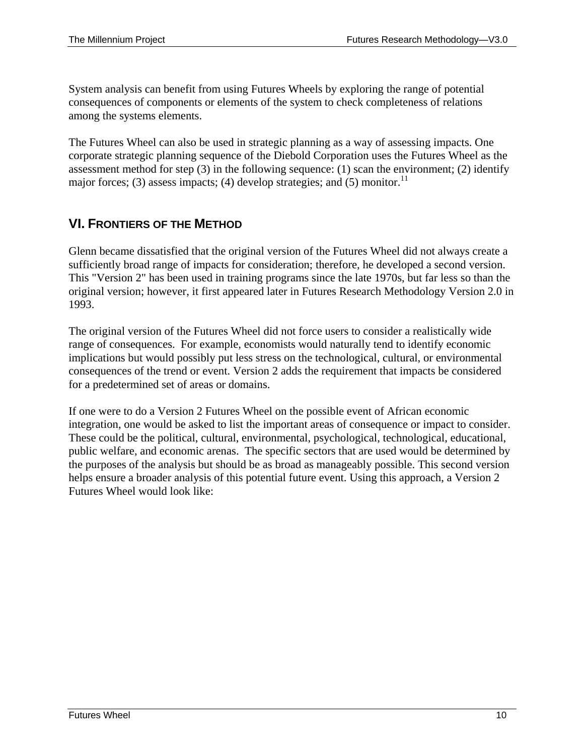System analysis can benefit from using Futures Wheels by exploring the range of potential consequences of components or elements of the system to check completeness of relations among the systems elements.

The Futures Wheel can also be used in strategic planning as a way of assessing impacts. One corporate strategic planning sequence of the Diebold Corporation uses the Futures Wheel as the assessment method for step (3) in the following sequence: (1) scan the environment; (2) identify major forces; (3) assess impacts; (4) develop strategies; and (5) monitor.<sup>11</sup>

### <span id="page-11-0"></span>**VI. FRONTIERS OF THE METHOD**

Glenn became dissatisfied that the original version of the Futures Wheel did not always create a sufficiently broad range of impacts for consideration; therefore, he developed a second version. This "Version 2" has been used in training programs since the late 1970s, but far less so than the original version; however, it first appeared later in Futures Research Methodology Version 2.0 in 1993.

The original version of the Futures Wheel did not force users to consider a realistically wide range of consequences. For example, economists would naturally tend to identify economic implications but would possibly put less stress on the technological, cultural, or environmental consequences of the trend or event. Version 2 adds the requirement that impacts be considered for a predetermined set of areas or domains.

If one were to do a Version 2 Futures Wheel on the possible event of African economic integration, one would be asked to list the important areas of consequence or impact to consider. These could be the political, cultural, environmental, psychological, technological, educational, public welfare, and economic arenas. The specific sectors that are used would be determined by the purposes of the analysis but should be as broad as manageably possible. This second version helps ensure a broader analysis of this potential future event. Using this approach, a Version 2 Futures Wheel would look like: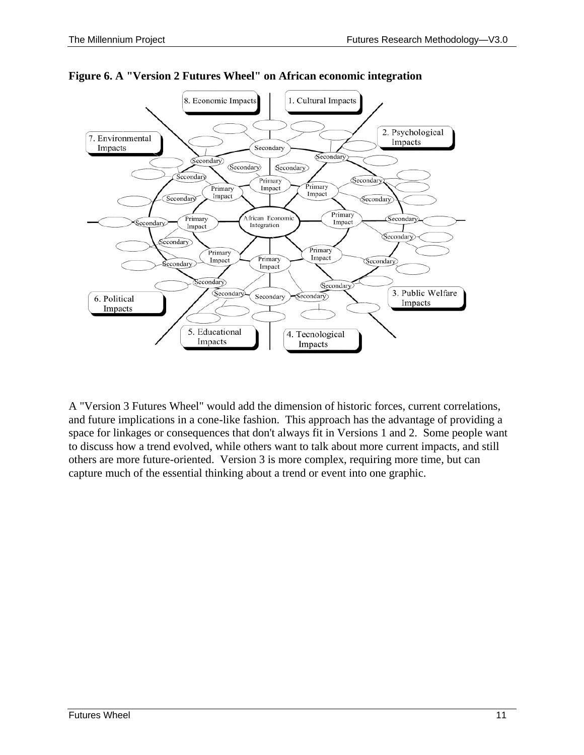



A "Version 3 Futures Wheel" would add the dimension of historic forces, current correlations, and future implications in a cone-like fashion. This approach has the advantage of providing a space for linkages or consequences that don't always fit in Versions 1 and 2. Some people want to discuss how a trend evolved, while others want to talk about more current impacts, and still others are more future-oriented. Version 3 is more complex, requiring more time, but can capture much of the essential thinking about a trend or event into one graphic.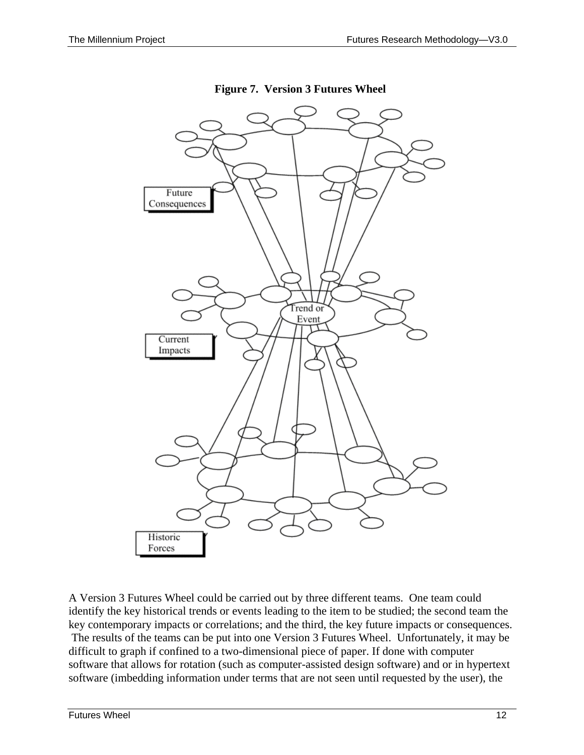

**Figure 7. Version 3 Futures Wheel**

A Version 3 Futures Wheel could be carried out by three different teams. One team could identify the key historical trends or events leading to the item to be studied; the second team the key contemporary impacts or correlations; and the third, the key future impacts or consequences. The results of the teams can be put into one Version 3 Futures Wheel. Unfortunately, it may be difficult to graph if confined to a two-dimensional piece of paper. If done with computer software that allows for rotation (such as computer-assisted design software) and or in hypertext software (imbedding information under terms that are not seen until requested by the user), the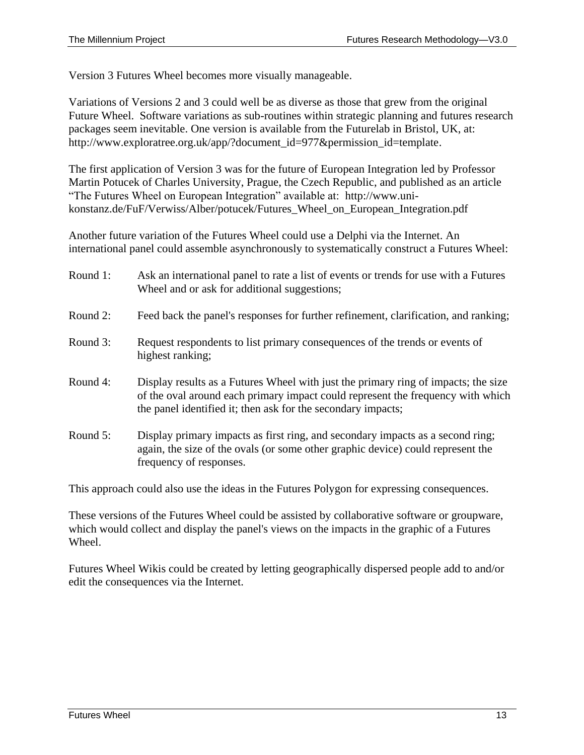Version 3 Futures Wheel becomes more visually manageable.

Variations of Versions 2 and 3 could well be as diverse as those that grew from the original Future Wheel. Software variations as sub-routines within strategic planning and futures research packages seem inevitable. One version is available from the Futurelab in Bristol, UK, at: http://www.exploratree.org.uk/app/?document\_id=977&permission\_id=template.

The first application of Version 3 was for the future of European Integration led by Professor Martin Potucek of Charles University, Prague, the Czech Republic, and published as an article "The Futures Wheel on European Integration" available at: http://www.unikonstanz.de/FuF/Verwiss/Alber/potucek/Futures\_Wheel\_on\_European\_Integration.pdf

Another future variation of the Futures Wheel could use a Delphi via the Internet. An international panel could assemble asynchronously to systematically construct a Futures Wheel:

- Round 1: Ask an international panel to rate a list of events or trends for use with a Futures Wheel and or ask for additional suggestions;
- Round 2: Feed back the panel's responses for further refinement, clarification, and ranking;
- Round 3: Request respondents to list primary consequences of the trends or events of highest ranking;
- Round 4: Display results as a Futures Wheel with just the primary ring of impacts; the size of the oval around each primary impact could represent the frequency with which the panel identified it; then ask for the secondary impacts;
- Round 5: Display primary impacts as first ring, and secondary impacts as a second ring; again, the size of the ovals (or some other graphic device) could represent the frequency of responses.

This approach could also use the ideas in the Futures Polygon for expressing consequences.

These versions of the Futures Wheel could be assisted by collaborative software or groupware, which would collect and display the panel's views on the impacts in the graphic of a Futures Wheel.

Futures Wheel Wikis could be created by letting geographically dispersed people add to and/or edit the consequences via the Internet.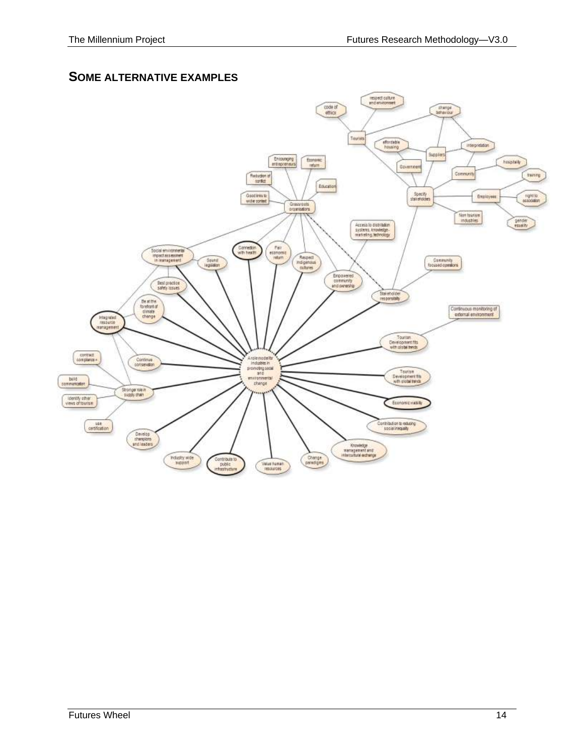#### **SOME ALTERNATIVE EXAMPLES**

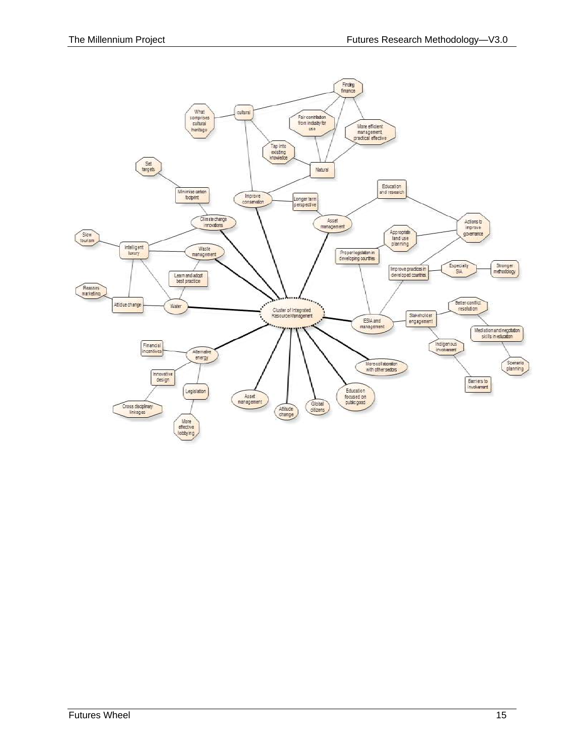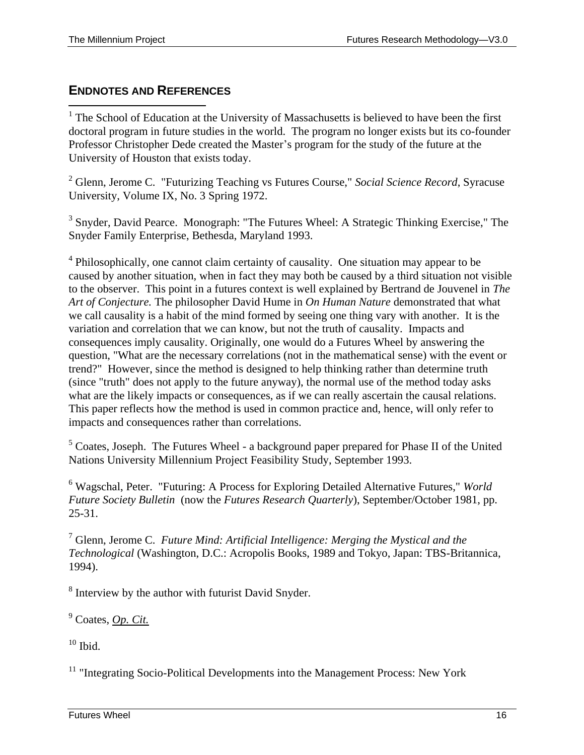### <span id="page-17-0"></span>**ENDNOTES AND REFERENCES**

<sup>1</sup> The School of Education at the University of Massachusetts is believed to have been the first doctoral program in future studies in the world. The program no longer exists but its co-founder Professor Christopher Dede created the Master's program for the study of the future at the University of Houston that exists today.

<sup>2</sup> Glenn, Jerome C. "Futurizing Teaching vs Futures Course," *Social Science Record*, Syracuse University, Volume IX, No. 3 Spring 1972.

<sup>3</sup> Snyder, David Pearce. Monograph: "The Futures Wheel: A Strategic Thinking Exercise," The Snyder Family Enterprise, Bethesda, Maryland 1993.

<sup>4</sup> Philosophically, one cannot claim certainty of causality. One situation may appear to be caused by another situation, when in fact they may both be caused by a third situation not visible to the observer. This point in a futures context is well explained by Bertrand de Jouvenel in *The Art of Conjecture.* The philosopher David Hume in *On Human Nature* demonstrated that what we call causality is a habit of the mind formed by seeing one thing vary with another. It is the variation and correlation that we can know, but not the truth of causality. Impacts and consequences imply causality. Originally, one would do a Futures Wheel by answering the question, "What are the necessary correlations (not in the mathematical sense) with the event or trend?" However, since the method is designed to help thinking rather than determine truth (since "truth" does not apply to the future anyway), the normal use of the method today asks what are the likely impacts or consequences, as if we can really ascertain the causal relations. This paper reflects how the method is used in common practice and, hence, will only refer to impacts and consequences rather than correlations.

<sup>5</sup> Coates, Joseph. The Futures Wheel - a background paper prepared for Phase II of the United Nations University Millennium Project Feasibility Study, September 1993.

<sup>6</sup> Wagschal, Peter. "Futuring: A Process for Exploring Detailed Alternative Futures," *World Future Society Bulletin* (now the *Futures Research Quarterly*), September/October 1981, pp. 25-31.

<sup>7</sup> Glenn, Jerome C. *Future Mind: Artificial Intelligence: Merging the Mystical and the Technological* (Washington, D.C.: Acropolis Books, 1989 and Tokyo, Japan: TBS-Britannica, 1994).

 $8$  Interview by the author with futurist David Snyder.

<sup>9</sup> Coates, *Op. Cit.*

 $10$  Ibid.

<sup>11</sup> "Integrating Socio-Political Developments into the Management Process: New York